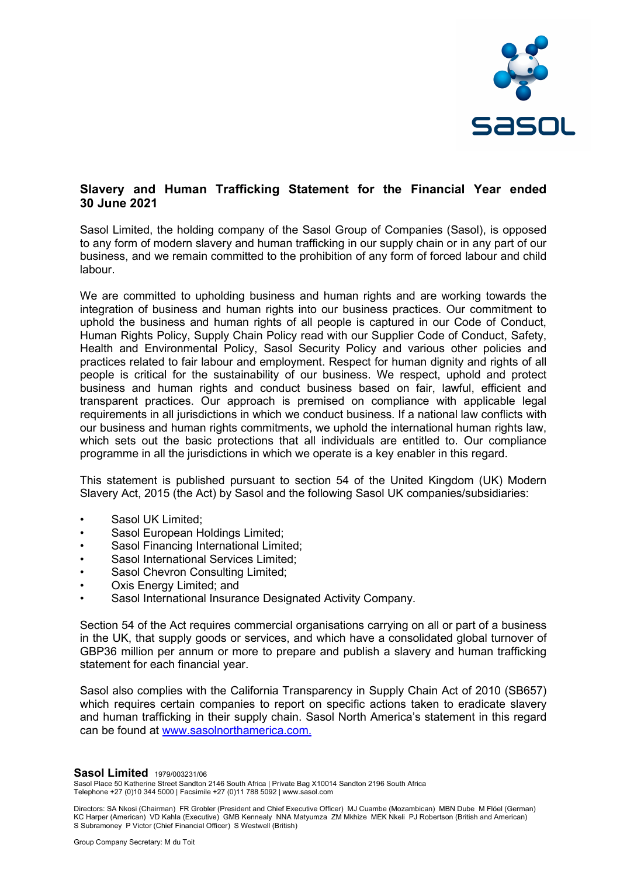

# Slavery and Human Trafficking Statement for the Financial Year ended 30 June 2021

Sasol Limited, the holding company of the Sasol Group of Companies (Sasol), is opposed to any form of modern slavery and human trafficking in our supply chain or in any part of our business, and we remain committed to the prohibition of any form of forced labour and child labour.

We are committed to upholding business and human rights and are working towards the integration of business and human rights into our business practices. Our commitment to uphold the business and human rights of all people is captured in our Code of Conduct, Human Rights Policy, Supply Chain Policy read with our Supplier Code of Conduct, Safety, Health and Environmental Policy, Sasol Security Policy and various other policies and practices related to fair labour and employment. Respect for human dignity and rights of all people is critical for the sustainability of our business. We respect, uphold and protect business and human rights and conduct business based on fair, lawful, efficient and transparent practices. Our approach is premised on compliance with applicable legal requirements in all jurisdictions in which we conduct business. If a national law conflicts with our business and human rights commitments, we uphold the international human rights law, which sets out the basic protections that all individuals are entitled to. Our compliance programme in all the jurisdictions in which we operate is a key enabler in this regard.

This statement is published pursuant to section 54 of the United Kingdom (UK) Modern Slavery Act, 2015 (the Act) by Sasol and the following Sasol UK companies/subsidiaries:

- Sasol UK Limited:
- Sasol European Holdings Limited;
- Sasol Financing International Limited;
- Sasol International Services Limited;
- Sasol Chevron Consulting Limited;
- Oxis Energy Limited; and
- Sasol International Insurance Designated Activity Company.

Section 54 of the Act requires commercial organisations carrying on all or part of a business in the UK, that supply goods or services, and which have a consolidated global turnover of GBP36 million per annum or more to prepare and publish a slavery and human trafficking statement for each financial year.

Sasol also complies with the California Transparency in Supply Chain Act of 2010 (SB657) which requires certain companies to report on specific actions taken to eradicate slavery and human trafficking in their supply chain. Sasol North America's statement in this regard can be found at www.sasolnorthamerica.com.

**Sasol Limited** 1979/003231/06

Sasol Place 50 Katherine Street Sandton 2146 South Africa | Private Bag X10014 Sandton 2196 South Africa Telephone +27 (0)10 344 5000 | Facsimile +27 (0)11 788 5092 | www.sasol.com

Directors: SA Nkosi (Chairman) FR Grobler (President and Chief Executive Officer) MJ Cuambe (Mozambican) MBN Dube M Flöel (German) KC Harper (American) VD Kahla (Executive) GMB Kennealy NNA Matyumza ZM Mkhize MEK Nkeli PJ Robertson (British and American) S Subramoney P Victor (Chief Financial Officer) S Westwell (British)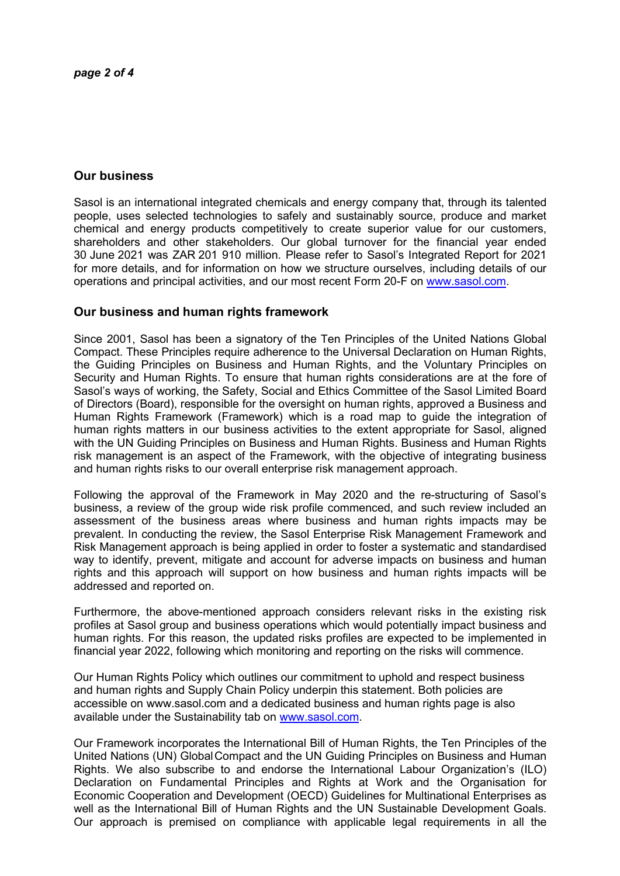# Our business

Sasol is an international integrated chemicals and energy company that, through its talented people, uses selected technologies to safely and sustainably source, produce and market chemical and energy products competitively to create superior value for our customers, shareholders and other stakeholders. Our global turnover for the financial year ended 30 June 2021 was ZAR 201 910 million. Please refer to Sasol's Integrated Report for 2021 for more details, and for information on how we structure ourselves, including details of our operations and principal activities, and our most recent Form 20-F on www.sasol.com.

## Our business and human rights framework

Since 2001, Sasol has been a signatory of the Ten Principles of the United Nations Global Compact. These Principles require adherence to the Universal Declaration on Human Rights, the Guiding Principles on Business and Human Rights, and the Voluntary Principles on Security and Human Rights. To ensure that human rights considerations are at the fore of Sasol's ways of working, the Safety, Social and Ethics Committee of the Sasol Limited Board of Directors (Board), responsible for the oversight on human rights, approved a Business and Human Rights Framework (Framework) which is a road map to guide the integration of human rights matters in our business activities to the extent appropriate for Sasol, aligned with the UN Guiding Principles on Business and Human Rights. Business and Human Rights risk management is an aspect of the Framework, with the objective of integrating business and human rights risks to our overall enterprise risk management approach.

Following the approval of the Framework in May 2020 and the re-structuring of Sasol's business, a review of the group wide risk profile commenced, and such review included an assessment of the business areas where business and human rights impacts may be prevalent. In conducting the review, the Sasol Enterprise Risk Management Framework and Risk Management approach is being applied in order to foster a systematic and standardised way to identify, prevent, mitigate and account for adverse impacts on business and human rights and this approach will support on how business and human rights impacts will be addressed and reported on.

Furthermore, the above-mentioned approach considers relevant risks in the existing risk profiles at Sasol group and business operations which would potentially impact business and human rights. For this reason, the updated risks profiles are expected to be implemented in financial year 2022, following which monitoring and reporting on the risks will commence.

Our Human Rights Policy which outlines our commitment to uphold and respect business and human rights and Supply Chain Policy underpin this statement. Both policies are accessible on www.sasol.com and a dedicated business and human rights page is also available under the Sustainability tab on www.sasol.com.

Our Framework incorporates the International Bill of Human Rights, the Ten Principles of the United Nations (UN) Global Compact and the UN Guiding Principles on Business and Human Rights. We also subscribe to and endorse the International Labour Organization's (ILO) Declaration on Fundamental Principles and Rights at Work and the Organisation for Economic Cooperation and Development (OECD) Guidelines for Multinational Enterprises as well as the International Bill of Human Rights and the UN Sustainable Development Goals. Our approach is premised on compliance with applicable legal requirements in all the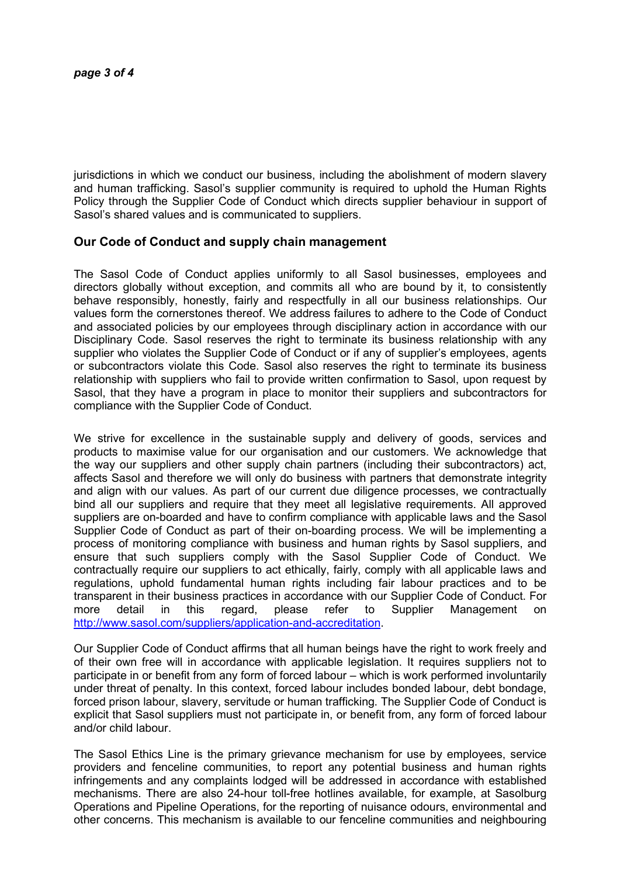jurisdictions in which we conduct our business, including the abolishment of modern slavery and human trafficking. Sasol's supplier community is required to uphold the Human Rights Policy through the Supplier Code of Conduct which directs supplier behaviour in support of Sasol's shared values and is communicated to suppliers.

## Our Code of Conduct and supply chain management

The Sasol Code of Conduct applies uniformly to all Sasol businesses, employees and directors globally without exception, and commits all who are bound by it, to consistently behave responsibly, honestly, fairly and respectfully in all our business relationships. Our values form the cornerstones thereof. We address failures to adhere to the Code of Conduct and associated policies by our employees through disciplinary action in accordance with our Disciplinary Code. Sasol reserves the right to terminate its business relationship with any supplier who violates the Supplier Code of Conduct or if any of supplier's employees, agents or subcontractors violate this Code. Sasol also reserves the right to terminate its business relationship with suppliers who fail to provide written confirmation to Sasol, upon request by Sasol, that they have a program in place to monitor their suppliers and subcontractors for compliance with the Supplier Code of Conduct.

We strive for excellence in the sustainable supply and delivery of goods, services and products to maximise value for our organisation and our customers. We acknowledge that the way our suppliers and other supply chain partners (including their subcontractors) act, affects Sasol and therefore we will only do business with partners that demonstrate integrity and align with our values. As part of our current due diligence processes, we contractually bind all our suppliers and require that they meet all legislative requirements. All approved suppliers are on-boarded and have to confirm compliance with applicable laws and the Sasol Supplier Code of Conduct as part of their on-boarding process. We will be implementing a process of monitoring compliance with business and human rights by Sasol suppliers, and ensure that such suppliers comply with the Sasol Supplier Code of Conduct. We contractually require our suppliers to act ethically, fairly, comply with all applicable laws and regulations, uphold fundamental human rights including fair labour practices and to be transparent in their business practices in accordance with our Supplier Code of Conduct. For more detail in this regard, please refer to Supplier Management on http://www.sasol.com/suppliers/application-and-accreditation.

Our Supplier Code of Conduct affirms that all human beings have the right to work freely and of their own free will in accordance with applicable legislation. It requires suppliers not to participate in or benefit from any form of forced labour – which is work performed involuntarily under threat of penalty. In this context, forced labour includes bonded labour, debt bondage, forced prison labour, slavery, servitude or human trafficking. The Supplier Code of Conduct is explicit that Sasol suppliers must not participate in, or benefit from, any form of forced labour and/or child labour.

The Sasol Ethics Line is the primary grievance mechanism for use by employees, service providers and fenceline communities, to report any potential business and human rights infringements and any complaints lodged will be addressed in accordance with established mechanisms. There are also 24-hour toll-free hotlines available, for example, at Sasolburg Operations and Pipeline Operations, for the reporting of nuisance odours, environmental and other concerns. This mechanism is available to our fenceline communities and neighbouring